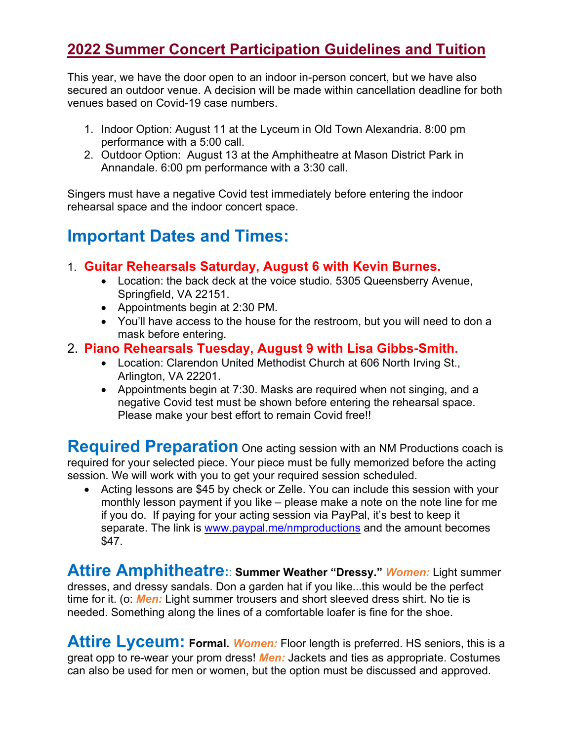#### **2022 Summer Concert Participation Guidelines and Tuition**

This year, we have the door open to an indoor in-person concert, but we have also secured an outdoor venue. A decision will be made within cancellation deadline for both venues based on Covid-19 case numbers.

- 1. Indoor Option: August 11 at the Lyceum in Old Town Alexandria. 8:00 pm performance with a 5:00 call.
- 2. Outdoor Option: August 13 at the Amphitheatre at Mason District Park in Annandale. 6:00 pm performance with a 3:30 call.

Singers must have a negative Covid test immediately before entering the indoor rehearsal space and the indoor concert space.

#### **Important Dates and Times:**

- 1. **Guitar Rehearsals Saturday, August 6 with Kevin Burnes.** 
	- Location: the back deck at the voice studio. 5305 Queensberry Avenue, Springfield, VA 22151.
	- Appointments begin at 2:30 PM.
	- You'll have access to the house for the restroom, but you will need to don a mask before entering.

#### 2. **Piano Rehearsals Tuesday, August 9 with Lisa Gibbs-Smith.**

- Location: Clarendon United Methodist Church at 606 North Irving St., Arlington, VA 22201.
- Appointments begin at 7:30. Masks are required when not singing, and a negative Covid test must be shown before entering the rehearsal space. Please make your best effort to remain Covid free!!

**Required Preparation** One acting session with an NM Productions coach is required for your selected piece. Your piece must be fully memorized before the acting session. We will work with you to get your required session scheduled.

• Acting lessons are \$45 by check or Zelle. You can include this session with your monthly lesson payment if you like – please make a note on the note line for me if you do. If paying for your acting session via PayPal, it's best to keep it separate. The link is www.paypal.me/nmproductions and the amount becomes \$47.

**Attire Amphitheatre:**: **Summer Weather "Dressy."** *Women:* Light summer dresses, and dressy sandals. Don a garden hat if you like...this would be the perfect time for it. (o: *Men:* Light summer trousers and short sleeved dress shirt. No tie is needed. Something along the lines of a comfortable loafer is fine for the shoe.

**Attire Lyceum: Formal.** *Women:* Floor length is preferred. HS seniors, this is a great opp to re-wear your prom dress! *Men:* Jackets and ties as appropriate. Costumes can also be used for men or women, but the option must be discussed and approved.